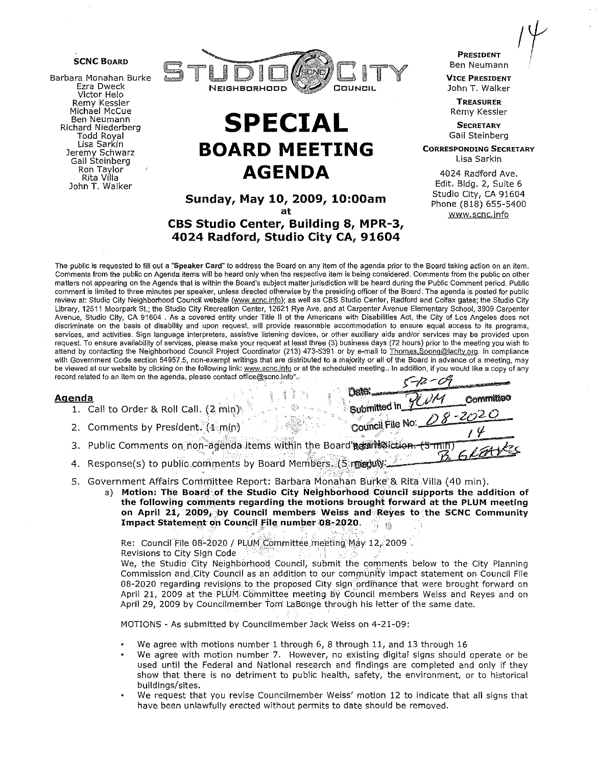

Barbara Monahan Burke Ezra Dweck Victor Helo Remy Kessler Michael McCue Ben Neumann Richard Niederberg Todd Royal<br>Lisa Sarkin Jeremy Schwarz Gail Steinberg Ron Taylor Rita Villa John T. Walker



# **SPECIAL BOARD MEETING AGENDA**

## Sunday, May 10, 2009, 10:00am at

# CBS Studio Center, Building 8, MPR-3, 4024 Radford, Studio City CA, 91604

PRESIDENT Ben Neumann

VICE PRESIDENT John T. Walker

**TREASURER** Remy Kessler

**SECRETARY** Gail Steinberg

CORRESPONDING SECRETARY Lisa Sarkin

4024 Radford Ave. Edit. Bldg. 2, Suite 6 Studio City, CA 91604 Phone (818) 655-5400 www.scnc.info

Submitted in  $1 - 2$   $\overline{0.2}$   $\overline{0.20}$ Council File No:  $QO 22$ </u>

The public is requested to fill out a "Speaker Card" to address the Board on any item of the agenda prior to the Board taking action on an item. Comments from the public on Agenda items will be heard only when the respective item is being considered. Comments from the public on other matters not appearing on the Agenda that is within the Board's subject matter jurisdiction will be heard during the Public Comment period. Public comment is limited to three minutes per speaker, unless directed otherwise by the presiding officer of the Board. The agenda is posted for public review at: Studio City Neighborhood Council website (www.scnc.info); as well as CBS Studio Center, Radford and Colfax gates; the Studio City Library, 12511 Moorpark St; the Studio City Recreation Center, 12621 Rye Ave. and at Carpenter Avenue Elementary Schoo!, 3909 Carpenter Avenue, Studio City, CA 91604 , As a covered entity under Title II of the Americans with Disabilities Act, the City of Los Angeles does not discriminate on the basis of disability and upon request, will provide reasonable accommodation to ensure equal access to its programs, services, and activities. Sign language interpreters, assistive listening devices, or other auxiliary aids and/or services may be provided upon request. To ensure availability of services, please make your request at least three {3) business days (72 hours) prior to the meeting you wish to attend by contacting the Neighborhood Council Project Coordinator (213) 473-5391 or by e-mail to Thomas.Soong@lacity.org. In compliance with Government Code section 54957.5, non-exempt writings that are distributed to a majority or all of the Board in advance of a meeting, may be viewed at our website by clicking on the following link: www.scnc.info or at the scheduled meeting. In addition, if you would like a copy of any be viewed at our website by clicking on the following link: www.scnc.info

- Agenda Dti\G .. :. Y· I) ''""' ........ .. . . , *c)/* rl ()ol'lll'llm""' 1. Call to Order & Roll Call. (2 min}
	- 2. Comments by President. (1 min)
	- 3. Public Comments on non-agenda items within the Board'agon soliction.
	- 4. Response(s) to public comments by Board Members. (5 meduly
	- 5. Government Affairs Committee Report: Barbara Monahan Burke & Rita Villa (40 min).
		- a) Motion: The Board of the Studio City Neighborhood Council supports the addition of the following comments regarding the motions brought forward at the PLUM meeting on April 21, 2009, by Council members Weiss and Reyes to the SCNC Community Impact Statement on Council File number 08-2020.

Re: Council File 08-2020 / PLUM Committee meeting May 12, 2009

Revisions to City Sign Code

We, the Studio City Neighborhood Council, submit the comments below to the City Planning Commission and City Council as an addition to our community impact statement on Council File 08-2020 regarding revisions to the proposed City sign ordinance that were brought forward on April 21, 2009 at the PLUM Committee meeting by Council members Weiss and Reyes and on April 29, 2009 by Councilmember Tom LaBonge through his letter of the same date.

MOTIONS - As submitted by Councilmember Jack Weiss on 4-21-09:

- We agree with motions number 1 through 6, 8 through 11, and 13 through 16
- We agree with motion number 7. However, no existing digital signs should operate or be used until the Federal and National research and findings are completed and only if they show that there is no detriment to public health, safety, the environment, or to historical buildings/sites.
- We request that you revise Councilmember Weiss' motion 12 to indicate that all signs that have been unlawfully erected without permits to date should be removed.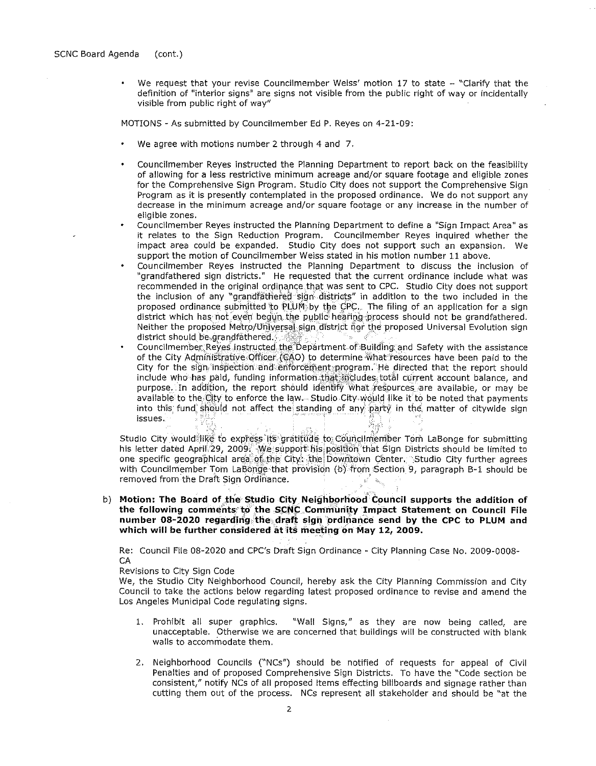We request that your revise Councilmember Weiss' motion 17 to state - "Clarify that the  $\bullet$ definition of "interior signs" are signs not visible from the public right of way or incidentally visible from public right of way"

MOTIONS - As submitted by Councilmember Ed P. Reyes on 4-21-09:

- We agree with motions number 2 through 4 and 7.
- Councilmember Reyes instructed the Planning Department to report back on the feasibility of allowing for a less restrictive minimum acreage and/or square footage and eligible zones for the Comprehensive Sign Program. Studio City does not support the Comprehensive Sign Program as it is presently contemplated in the proposed ordinance. We do not support any decrease in the minimum acreage and/or square footage or any increase in the number of eligible zones.
- Councilmember Reyes instructed the Planning Department to define a "Sign Impact Area" as it relates to the Sign Reduction Program. Councilmember Reyes inquired whether the impact area could be expanded. Studio City does not support such an expansion. We support the motion of Councilmember Weiss stated in his motion number 11 above.
- Councilmember Reyes instructed the Planning Department to discuss the inclusion of "grandfathered sign districts." He requested that the current ordinance include what was recommended in the original ordinance that was sent to CPC. Studio City does not support the inclusion of any "grandfathered sign districts" in addition to the two included in the proposed ordinance submitted to PLUM by the CPC. The filing of an application for a sign district which has not even begun the public hearing process should not be grandfathered. Neither the proposed Metro/Universal sign district nor the proposed Universal Evolution sign district should be grandfäthered.
- Councilmember Reves instructed the Department of Building and Safety with the assistance of the City Administrative Officer (CAO) to determine what resources have been paid to the City for the sign inspection and enforcement program. He directed that the report should include who has paid, funding information that includes total current account balance, and purpose. In addition, the report should identify what resources are available, or may be available to the City to enforce the law—Studio City would like it to be noted that payments into this fund should not affect the standing of any party in the matter of citywide sign issues.

Studio City would like to express its gratitude to Councilmember Tom LaBonge for submitting his letter dated April 29, 2009. We support his position that Sign Districts should be limited to one specific geographical area of the City: the Downtown Center. Studio City further agrees with Councilmember Tom LaBonge that provision (b) from Section 9, paragraph B-1 should be removed from the Draft Sign Ordinance.

b) Motion: The Board of the Studio City Neighborhood Council supports the addition of the following comments to the SCNC Community Impact Statement on Council File number 08-2020 regarding the draft sign ordinance send by the CPC to PLUM and which will be further considered at its meeting on May 12, 2009.

Re: Council File 08-2020 and CPC's Draft Sign Ordinance - City Planning Case No. 2009-0008-CA

Revisions to City Sign Code

We, the Studio City Neighborhood Council, hereby ask the City Planning Commission and City Council to take the actions below regarding latest proposed ordinance to revise and amend the Los Angeles Municipal Code regulating signs.

- 1. Prohibit all super graphics. "Wall Signs," as they are now being called, are unacceptable. Otherwise we are concerned that buildings will be constructed with blank walls to accommodate them.
- 2. Neighborhood Councils ("NCs") should be notified of requests for appeal of Civil Penalties and of proposed Comprehensive Sign Districts. To have the "Code section be consistent," notify NCs of all proposed items effecting billboards and signage rather than cutting them out of the process. NCs represent all stakeholder and should be "at the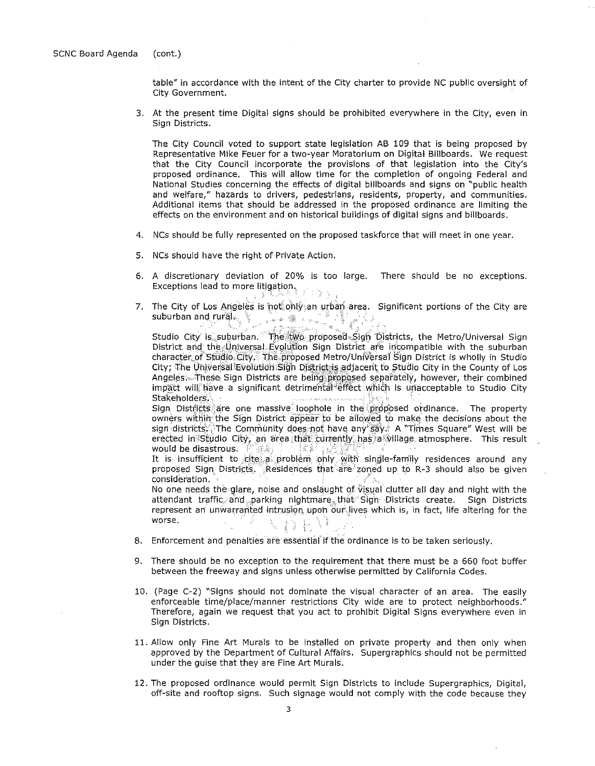table" in accordance with the intent of the City charter to provide NC public oversight of City Government.

3. At the present time Digital signs should be prohibited everywhere in the City, even in Sign Districts.

The City Council voted to support state legislation AB 109 that is being proposed by Representative Mike Feuer for a two-year Moratorium on Digital Billboards. We request that the City Council incorporate the provisions of that legislation into the City's proposed ordinance. This will allow time for the completion of ongoing Federal and National Studies concerning the effects of digital billboards and signs on "public health and welfare," hazards to drivers, pedestrians, residents, property, and communities. Additional items that should be addressed in the proposed ordinance are limiting the effects on the environment and on historical buildings of digital signs and billboards.

- 4. NCs should be fully represented on the proposed taskforce that will meet in one year.
- 5. NCs should have the right of Private Action.
- 6. A discretionary deviation of 20% is too large. There should be no exceptions. Exceptions lead to more litigation. - 11
- 7. The City of Los Angeles is not only an urban area. Significant portions of the City are suburban and rural  $\mathbb{R}$  . The suburban and rural  $\mathbb{R}$

Studio City is suburban. The two proposed Sign Districts, the Metro/Universal Sign<br>District and the Universal Evolution Sign District are incompatible with the suburban character of Studio City. The proposed Metro/Universal Sign District is wholly in Studio City; The Universal Evolution Sign District is adjacent to Studio City in the County of Los Angeles: These Sign Districts are being proposed separately, however, their combined impact will have a significant detrimental effect which is unacceptable to Studio City Stakeholders,

Sign Districts are one massive loophole in the proposed ordinance. The property owners within the Sign District appear to be allowed to make the decisions about the sign districts. The Community does not have any say. A "Times Square" West will be erected in Studio City, an area that currently has a village atmosphere. This result would be disastrous.

It is insufficient to cite a problem only with single-family residences around any proposed Sign Districts. Residences that are zoned up to R-3 should also be given consideration.

No one needs the glare, noise and onslaught of visual clutter all day and night with the attendant traffic and parking nightmare that Sign Districts create. Sign Districts represent an unwarranted intrusion upon our lives which is, in fact, life altering for the worse. N DEN

- 8. Enforcement and penalties are essential if the ordinance is to be taken seriously.
- 9. There should be no exception to the requirement that there must be a 660 foot buffer between the freeway and signs unless otherwise permitted by California Codes.
- 10. (Page C-2) "Signs should not dominate the visual character of an area. The easily enforceable time/place/manner restrictions City wide are to protect neighborhoods." Therefore, again we request that you act to prohibit Digital Signs everywhere even in Sign Districts.
- 11. Allow only Fine Art Murals to be installed on private property and then only when approved by the Department of Cultural Affairs. Supergraphics should not be permitted under the guise that they are Fine Art Murals.
- 12. The proposed ordinance would permit Sign Districts to include Supergraphics, Digital, off-site and rooftop signs. Such signage would not comply with the code because they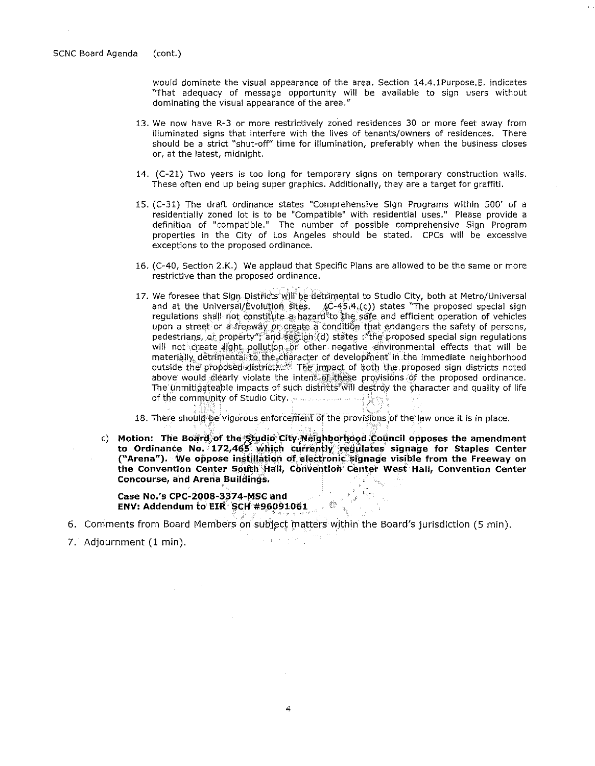would dominate the visual appearance of the area. Section 14.4.1Purpose. E. indicates "That adequacy of message opportunity will be available to sign users without **dominating the visual appearance of the area."** 

- 13. We now have R-3 or more restrictively zoned residences 30 or more feet away from illuminated signs that interfere with the lives of tenants/owners of residences. There should be a strict "shut-off" time for illumination, preferably when the business closes or, at the latest, midnight.
- 14. (C-21) Two years is too long for temporary signs on temporary construction walls. These often end up being super graphics. Additionally, they are a target for graffiti.
- 15. (C-31) The draft ordinance states "Comprehensive Sign Programs within 500' of a residentially zoned lot is to be "Compatible" with residential uses." Please provide a definition of "compatible." The number of possible comprehensive Sign Program properties in the City of Los Angeles should be stated. CPCs will be excessive exceptions to the proposed ordinance.
- 16. (C-40, Section 2.K.) We applaud that Specific Plans are allowed to be the same or more restrictive than the proposed ordinance.
- 17. We foresee that Sign Districts will be detrimental to Studio City, both at Metro/Universal and at the Universal/Evolution sites.  $(C-45.4(C))$  states "The proposed special sign regulations shall not constitute a hazard to the safe and efficient operation of vehicles upon a street or a freeway or create a condition that endangers the safety of persons, pedestrians, or property"; and section (d) states : "the proposed special sign regulations will not create light pollution or other negative environmental effects that will be materially, detrimental to the character of development in the immediate neighborhood outside the proposed district,..... The impact of both the proposed sign districts noted above would clearly violate the intent of these provisions of the proposed ordinance. The unmitigateable impacts of such districts; will destroy the character and quality of life of the commUnity of Studio City. · ·
- 18. There should be vigorous enforcement of the provisions of the law once it is in place.
- c) **Motion: The Board of the Studio City Neighborhood Council opposes the amendment** to Ordinance No. 172,465 which currently regulates signage for Staples Center ("Arena"). We oppose instillation of electronic signage visible from the Freeway on the Convention Center South Hall, Convention Center West Hall, Convention Center **Concourse, and Arena Buildings.**

**Case No.'s CPC-2008-3374-MSC and ENV: Addendum to ElR SCif #96091061** 

6. Comments from Board Members on subject matters within the Board's jurisdiction (5 min).

7. Adjournment (1 min).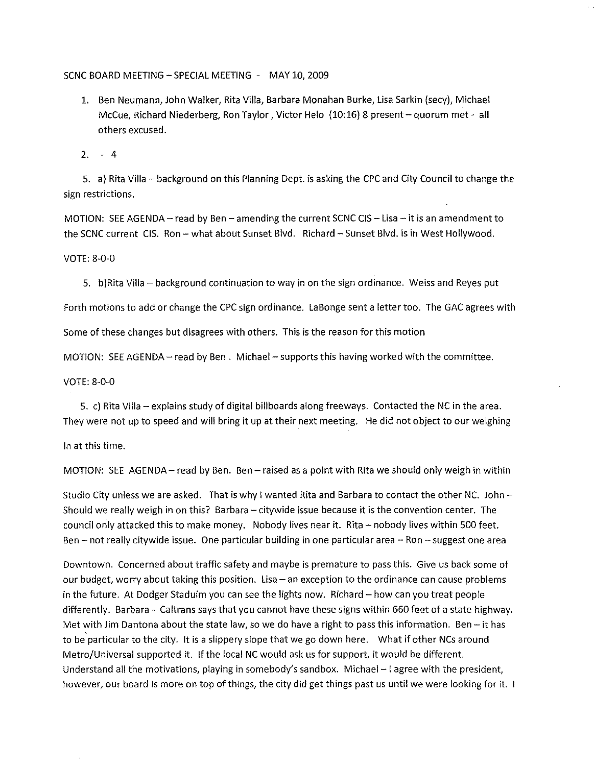### SCNC BOARD MEETING- SPECIAL MEETING - MAY 10,2009

- 1. Ben Neumann, John Walker, Rita Villa, Barbara Monahan Burke, Lisa Sarkin (secy), Michael McCue, Richard Niederberg, Ron Taylor, Victor Helo (10:16) 8 present- quorum met- all others excused.
- 2. 4

5. a) Rita Villa- background on this Planning Dept. is asking the CPC and City Council to change the sign restrictions.

MOTION: SEE AGENDA - read by Ben - amending the current SCNC CIS - Lisa - it is an amendment to the SCNC current CIS. Ron- what about Sunset Blvd. Richard- Sunset Blvd. is in West Hollywood.

### VOTE: 8-0-0

5. b)Rita Villa- background continuation to way in on the sign ordinance. Weiss and Reyes put

Forth motions to add or change the CPC sign ordinance. LaBonge sent a letter too. The GAC agrees with

Some of these changes but disagrees with others. This is the reason for this motion

MOTION: SEE AGENDA- read by Ben. Michael- supports this having worked with the committee.

VOTE: 8-0-0

5. c) Rita Villa- explains study of digital billboards along freeways. Contacted the NC in the area. They were not up to speed and will bring it up at their next meeting. He did not object to our weighing

In at this time.

MOTION: SEE AGENDA- read by Ben. Ben- raised as a point with Rita we should only weigh in within

Studio City unless we are asked. That is why I wanted Rita and Barbara to contact the other NC. John-Should we really weigh in on this? Barbara- citywide issue because it is the convention center. The council only attacked this to make money. Nobody lives near it. Rita- nobody lives within 500 feet. Ben- not really citywide issue. One particular building in one particular area- Ron- suggest one area

Downtown. Concerned about traffic safety and maybe is premature to pass this. Give us back some of our budget, worry about taking this position. Lisa- an exception to the ordinance can cause problems in the future. At Dodger Staduim you can see the lights now. Richard- how can you treat people differently. Barbara- Caltrans says that you cannot have these signs within 660 feet of a state highway. Met with Jim Dantona about the state law, so we do have a right to pass this information. Ben  $-$  it has to be particular to the city. It is a slippery slope that we go down here. What if other NCs around Metro/Universal supported it. If the local NC would ask us for support, it would be different. Understand all the motivations, playing in somebody's sandbox. Michael - I agree with the president, however, our board is more on top of things, the city did get things past us until we were looking for it.